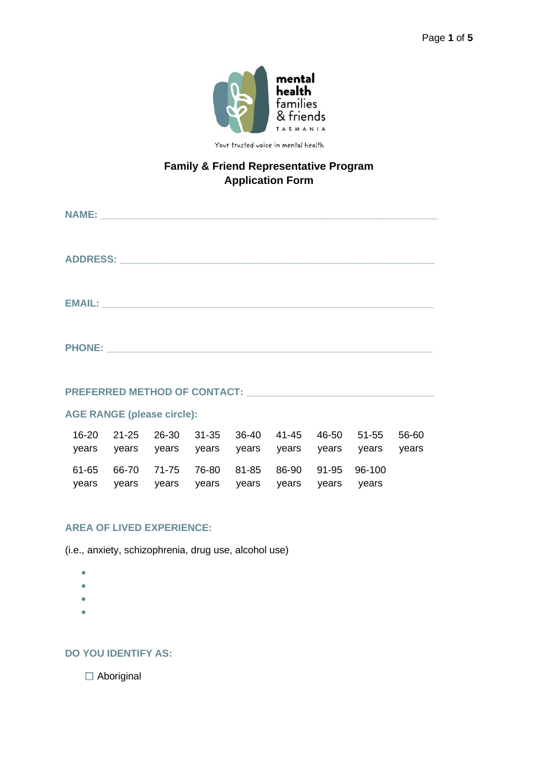

Your trusted voice in mental health

## **Family & Friend Representative Program Application Form**

| <b>NAME:</b> |  |  |  |
|--------------|--|--|--|
|              |  |  |  |
|              |  |  |  |
|              |  |  |  |
|              |  |  |  |
|              |  |  |  |
|              |  |  |  |
|              |  |  |  |

**PHONE: \_\_\_\_\_\_\_\_\_\_\_\_\_\_\_\_\_\_\_\_\_\_\_\_\_\_\_\_\_\_\_\_\_\_\_\_\_\_\_\_\_\_\_\_\_\_\_\_\_\_\_\_\_\_\_\_\_\_\_**

# **PREFERRED METHOD OF CONTACT: \_\_\_\_\_\_\_\_\_\_\_\_\_\_\_\_\_\_\_\_\_\_\_\_\_\_\_\_\_\_\_\_\_\_**

## **AGE RANGE (please circle):**

|                                                  |  |  | 16-20  21-25  26-30  31-35  36-40  41-45  46-50  51-55  56-60 |  |
|--------------------------------------------------|--|--|---------------------------------------------------------------|--|
|                                                  |  |  | years years years years years years years years years years   |  |
| 61-65 66-70 71-75 76-80 81-85 86-90 91-95 96-100 |  |  |                                                               |  |
| years years years years years years years years  |  |  |                                                               |  |

#### **AREA OF LIVED EXPERIENCE:**

(i.e., anxiety, schizophrenia, drug use, alcohol use)

- •
- •
- •
- •

## **DO YOU IDENTIFY AS:**

□ Aboriginal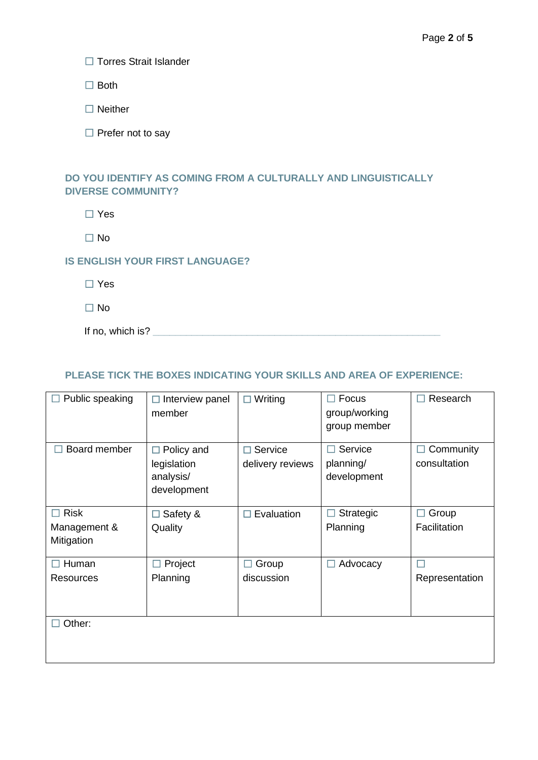☐ Torres Strait Islander

☐ Both

□ Neither

□ Prefer not to say

## **DO YOU IDENTIFY AS COMING FROM A CULTURALLY AND LINGUISTICALLY DIVERSE COMMUNITY?**

☐ Yes

☐ No

#### **IS ENGLISH YOUR FIRST LANGUAGE?**

☐ Yes

☐ No

If no, which is?

## **PLEASE TICK THE BOXES INDICATING YOUR SKILLS AND AREA OF EXPERIENCE:**

| Public speaking            | $\Box$ Interview panel<br>member                             | $\Box$ Writing                   | Focus<br>Н<br>group/working<br>group member | Research<br>ш                       |
|----------------------------|--------------------------------------------------------------|----------------------------------|---------------------------------------------|-------------------------------------|
| Board member               | $\Box$ Policy and<br>legislation<br>analysis/<br>development | Service<br>П<br>delivery reviews | Service<br>I.<br>planning/<br>development   | Community<br>$\Box$<br>consultation |
| <b>Risk</b>                | $\Box$ Safety &                                              | Evaluation<br>П                  | Strategic<br>П                              | Group<br>П                          |
| Management &<br>Mitigation | Quality                                                      |                                  | Planning                                    | Facilitation                        |
| Human                      | Project                                                      | Group                            | Advocacy<br>L                               | г                                   |
| Resources                  | Planning                                                     | discussion                       |                                             | Representation                      |
| Other:                     |                                                              |                                  |                                             |                                     |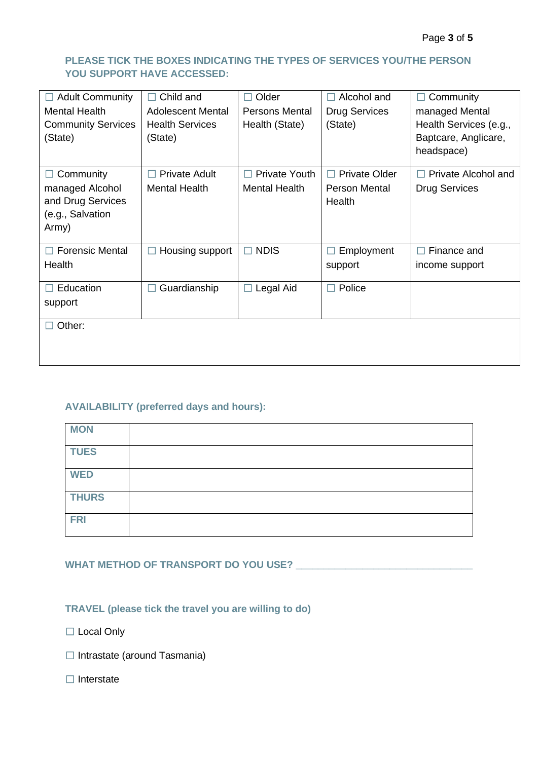#### **PLEASE TICK THE BOXES INDICATING THE TYPES OF SERVICES YOU/THE PERSON YOU SUPPORT HAVE ACCESSED:**

| <b>Adult Community</b><br><b>Mental Health</b><br><b>Community Services</b><br>(State) | Child and<br>П<br>Adolescent Mental<br><b>Health Services</b><br>(State) | Older<br>$\mathsf{L}$<br><b>Persons Mental</b><br>Health (State) | Alcohol and<br><b>Drug Services</b><br>(State) | Community<br>П<br>managed Mental<br>Health Services (e.g.,<br>Baptcare, Anglicare,<br>headspace) |
|----------------------------------------------------------------------------------------|--------------------------------------------------------------------------|------------------------------------------------------------------|------------------------------------------------|--------------------------------------------------------------------------------------------------|
| Community                                                                              | <b>Private Adult</b><br>L.                                               | <b>Private Youth</b>                                             | <b>Private Older</b>                           | Private Alcohol and                                                                              |
| managed Alcohol<br>and Drug Services<br>(e.g., Salvation<br>Army)                      | <b>Mental Health</b>                                                     | <b>Mental Health</b>                                             | Person Mental<br>Health                        | <b>Drug Services</b>                                                                             |
| <b>Forensic Mental</b>                                                                 | Housing support<br>Ш                                                     | $\Box$ NDIS                                                      | Employment                                     | Finance and                                                                                      |
| Health                                                                                 |                                                                          |                                                                  | support                                        | income support                                                                                   |
| Education<br>support                                                                   | Guardianship<br>Н                                                        | Legal Aid<br>ப                                                   | Police<br>- 1                                  |                                                                                                  |
| Other:                                                                                 |                                                                          |                                                                  |                                                |                                                                                                  |

## **AVAILABILITY (preferred days and hours):**

| <b>MON</b>   |  |
|--------------|--|
| <b>TUES</b>  |  |
| <b>WED</b>   |  |
| <b>THURS</b> |  |
| <b>FRI</b>   |  |

**WHAT METHOD OF TRANSPORT DO YOU USE? \_\_\_\_\_\_\_\_\_\_\_\_\_\_\_\_\_\_\_\_\_\_\_\_\_\_\_\_\_\_\_\_**

**TRAVEL (please tick the travel you are willing to do)**

□ Local Only

☐ Intrastate (around Tasmania)

☐ Interstate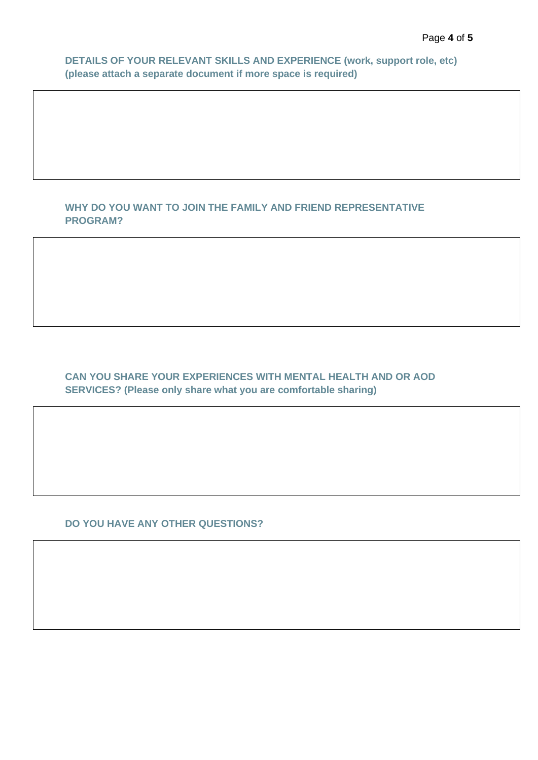**DETAILS OF YOUR RELEVANT SKILLS AND EXPERIENCE (work, support role, etc) (please attach a separate document if more space is required)**

#### **WHY DO YOU WANT TO JOIN THE FAMILY AND FRIEND REPRESENTATIVE PROGRAM?**

#### **CAN YOU SHARE YOUR EXPERIENCES WITH MENTAL HEALTH AND OR AOD SERVICES? (Please only share what you are comfortable sharing)**

#### **DO YOU HAVE ANY OTHER QUESTIONS?**